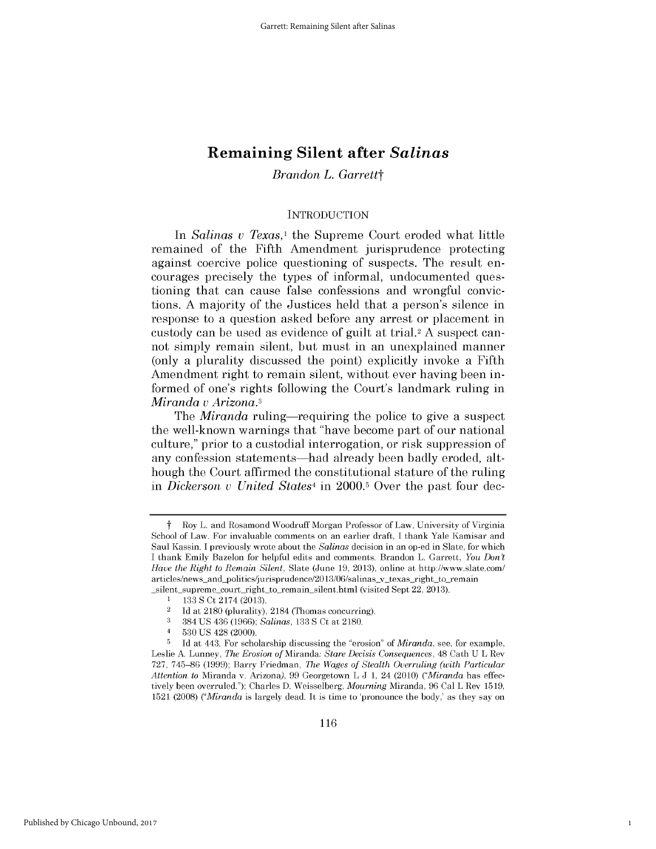### *Brandon L. Garrettt*

#### **INTRODUCTION**

In *Salinas v Texas*,<sup>1</sup> the Supreme Court eroded what little remained of the Fifth Amendment jurisprudence protecting against coercive police questioning of suspects. The result encourages precisely the types of informal, undocumented questioning that can cause false confessions and wrongful convictions. **A** majority of the Justices held that a person's silence in response to a question asked before any arrest or placement in custody can be used as evidence of guilt at trial.2 A suspect cannot simply remain silent, but must in an unexplained manner (only a plurality discussed the point) explicitly invoke a Fifth Amendment right to remain silent, without ever having been informed of one's rights following the Court's landmark ruling in *Miranda v Arizona.3*

The *Miranda* ruling—requiring the police to give a suspect the well-known warnings that "have become part of our national culture," prior to a custodial interrogation, or risk suppression of any confession statements—had already been badly eroded, although the Court affirmed the constitutional stature of the ruling in *Dickerson v United States4* in **2000.5** Over the past four dec-

**3** 384 **US** 436 **(1966);** *Salinas,* **133 S** Ct at **2180.**

1

t Roy L. and Rosamond Woodruff Morgan Professor of Law, University of Virginia School of Law. For invaluable comments on an earlier draft, **I** thank Yale Kamisar and Saul Kassin. **I** previously wrote about the *Salinas* decision in an op-ed in Slate, for which **I** thank Emily Bazelon for helpful edits and comments. Brandon L. Garrett, *You Don't Have the Right to Remain Silent,* Slate (June **19, 2013),** online at http://www.slate.com/ articles/news\_and\_politics/jurisprudence/2013/06/salinas\_v\_texas\_right\_to\_remain silent-supreme court right to remain silent.html (visited Sept 22, **2013).**

**<sup>1</sup> 133 S** Ct 2174 **(2013).**

<sup>2</sup>**Id** at **2180** (plurality), 2184 (Thomas concurring).

<sup>4</sup>**530 US** 428 (2000).

**<sup>5</sup>Id** at 443. For scholarship discussing the "erosion" *of Miranda,* see, for example, Leslie **A.** Lunney, *The Erosion of* Miranda: *Stare Decisis Consequences,* 48 Cath **U** L Rev **727, 745-86 (1999);** Barry Friedman, *The Wages of Stealth Overruling (with Particular Attention to* Miranda v. Arizona), **99** Georgetown L **J 1,** 24 (2010) *("Miranda* has effectively been overruled."); Charles **D.** Weisselberg, *Mourning* Miranda, **96** Cal L Rev **1519, 1521 (2008)** *("Miranda* is largely dead. It is time to 'pronounce the body,' as they say on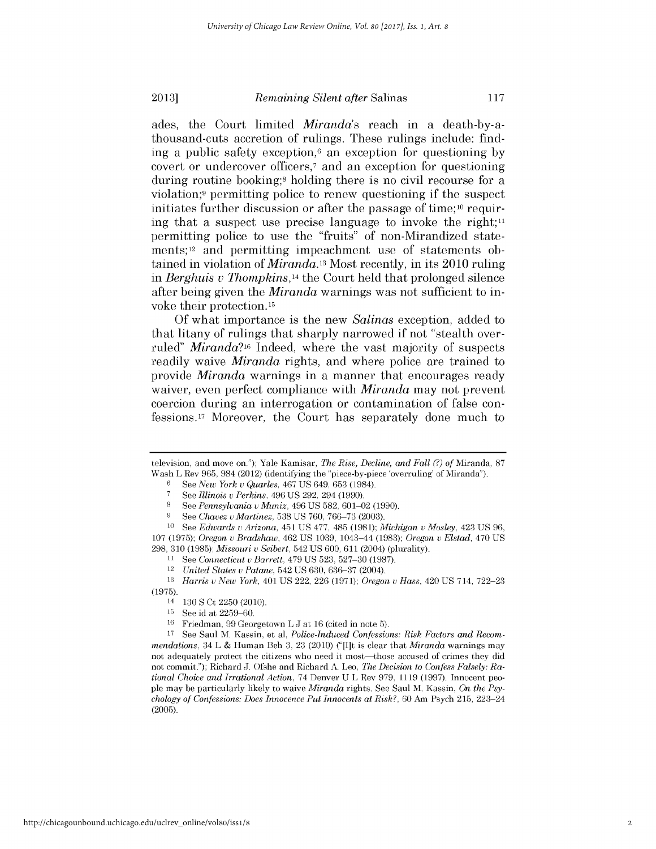#### **2013]** *Remaining Silent after* Salinas **<sup>117</sup>**

ades, the Court limited *Miranda's* reach in a death-by-athousand-cuts accretion of rulings. These rulings include: finding a public safety exception,6 an exception for questioning **by** covert or undercover officers,7 and an exception for questioning during routine booking;8 holding there is no civil recourse for a violation;9 permitting police to renew questioning **if** the suspect initiates further discussion or after the passage of time;<sup>10</sup> requiring that a suspect use precise language to invoke the right;<sup>11</sup> permitting police to use the "fruits" of non-Mirandized statements; 12 and permitting impeachment use of statements obtained in violation of *Miranda.13* Most recently, in its 2010 ruling *in Berghuis u Thompkins,14* the Court held that prolonged silence after being given the *Miranda* warnings was not sufficient to in-

**Of** what importance is the new *Salinas* exception, added to that litany of rulings that sharply narrowed **if** not "stealth overruled" *Miranda?16* Indeed, where the vast majority of suspects readily waive *Miranda* rights, and where police are trained to provide *Miranda* warnings in a manner that encourages ready waiver, even perfect compliance with *Miranda* may not prevent coercion during an interrogation or contamination of false confessions.17 Moreover, the Court has separately done much to

voke their protection.15

television, and move on."); Yale Kamisar, *The Rise, Decline, and Fall (?) of* Miranda, **87** Wash L Rev **965,** 984 (2012) (identifying the "piece-by-piece 'overruling' of Miranda").

**<sup>6</sup>***See New York u Quarles, 467* **US** 649, **653** (1984).

**<sup>7</sup>** *See Illinois u Perkins, 496* **US 292,** 294 **(1990).**

**<sup>8</sup>***See Pennsylvania* v *Muniz, 496* **US 582, 601-02 (1990).**

**<sup>9</sup>***See Chavez u Martinez,* **538 US 760, 766-73 (2003).**

**<sup>10</sup>** *See Edwards u Arizona, 451* **US 477,** *485* **(1981);** *Michigan u Mosley,* 423 **US 96, 107 (1975);** *Oregon u Bradshaw,* 462 **US 1039,** 1043-44 **(1983);** *Oregon u Elstad,* 470 **US 298, 310 (1985);** *Missouri u Seibert,* 542 **US 600, 611** (2004) (plurality).

<sup>11</sup> See *Connecticut v Barrett,*  $479$  US  $523$ ,  $527-30$  (1987).

<sup>12</sup>*United States u Patane,* 542 **US 630, 636-37** (2004).

**<sup>13</sup>***Harris u New York,* 401 **US** 222, **226 (1971);** *Oregon u Hass,* 420 **US** 714, **722-23 (1975).**

<sup>14</sup>**130 S** Ct **2250** (2010).

**<sup>15</sup> See** id at **2259-60.**

**<sup>16</sup>**Friedman, **99** Georgetown L **J** at **16** (cited in note **5).**

**<sup>17</sup>** See Saul M. Kassin, et al, *Police-Induced Confessions: Risk Factors and Recommendations,* 34 L **&** Human Beh **3, 23 (2010) ("** [I]t is clear that *Miranda* warnings may not adequately protect the citizens who need **it** most-those accused of crimes they did not commit."); Richard **J.** Ofshe and Richard **A.** Leo, *The Decision to Confess Falsely: Rational Choice and Irrational Action,* 74 Denver **U** L Rev **979, 1119 (1997).** Innocent people may be particularly likely to waive *Miranda* rights. See Saul M. Kassin, *On the Psychology of Confessions: Does Innocence Put Innocents at Risk?,* **60** Am Psych **215,** 223-24 **(2005).**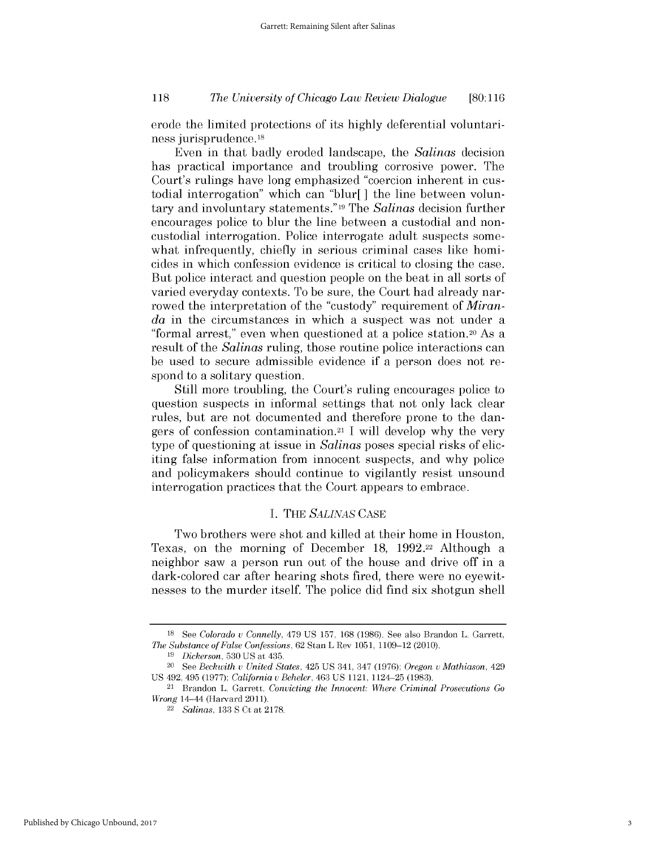### *The University of Chicago Law Review Dialogue* **118 [80:116**

erode the limited protections of its **highly** deferential voluntariness jurisprudence.18

Even in that badly eroded landscape, the *Salinas* decision has practical importance and troubling corrosive power. The Court's rulings have long emphasized "coercion inherent in custodial interrogation" which can "blur[] the line between voluntary and involuntary statements."19 The *Salinas* decision further encourages police to blur the line between a custodial and noncustodial interrogation. Police interrogate adult suspects somewhat infrequently, chiefly in serious criminal cases like homicides in which confession evidence is critical to closing the case. But police interact and question people on the beat in all sorts of varied everyday contexts. To be sure, the Court had already narrowed the interpretation of the "custody" requirement of *Miranda* in the circumstances in which a suspect was not under a "formal arrest," even when questioned at a police station.20 As a result of the *Salinas* ruling, those routine police interactions can be used to secure admissible evidence **if** a person does not respond to a solitary question.

Still more troubling, the Court's ruling encourages police to question suspects in informal settings that not only lack clear rules, but are not documented and therefore prone to the dangers of confession contamination.21 **1** will develop why the very type of questioning at issue in *Salinas* poses special risks of eliciting false information from innocent suspects, and why police and policymakers should continue to vigilantly resist unsound interrogation practices that the Court appears to embrace.

#### **I.** THE *SALINAS* **CASE**

Two brothers were shot and killed at their home in Houston, Texas, on the morning of December **18, 1992.22** Although a neighbor saw a person run out of the house and drive off in a dark-colored car after hearing shots fired, there were no eyewitnesses to the murder itself. The police **did** find six shotgun shell

**<sup>18</sup> See** *Colorado u Connelly,* 479 **US 157, 168 (1986).** See also Brandon L. Garrett, *The Substance of False Confessions,* **62** Stan L Rev **1051, 1109-12** (2010).

*<sup>19</sup>Dickerson,* **530 US** at 435. 20 See *Beckwith u United States,* 425 **US** 341, 347 **(1976);** *Oregon u Mathiason,* <sup>429</sup> **US** 492, 495 **(1977);** *California* v *Beheler,* 463 **US** 1121, 1124-25 **(1983).** 21 Brandon L. Garrett, *Convicting the Innocent: Where Criminal Prosecutions Go*

*Wrong* 14-44 (Harvard 2011).

<sup>22</sup>*Salinas,* **133 S** Ct at **2178.**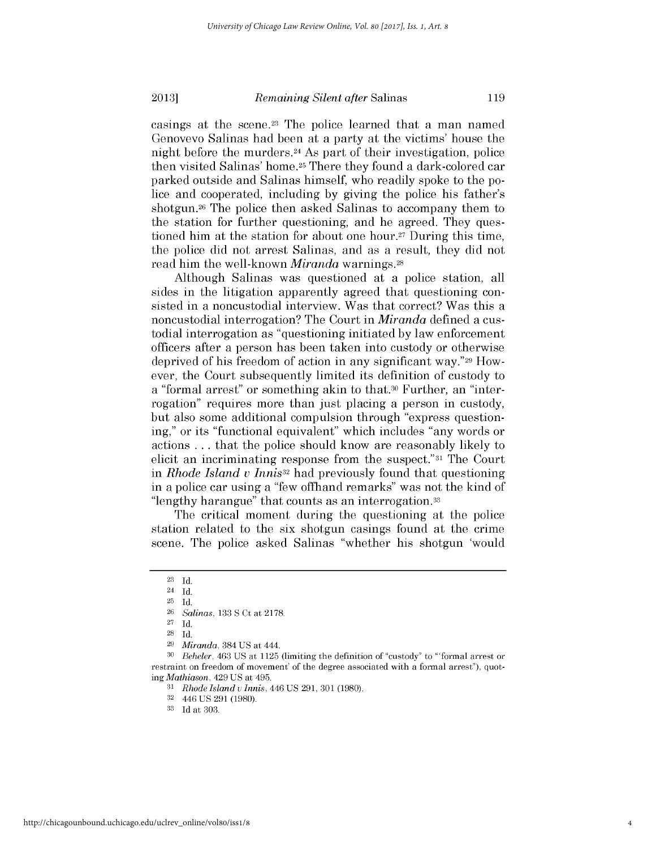casings at the scene.<sup>23</sup> The police learned that a man named Genovevo Salinas had been at a party at the victims' house the night before the murders.24 As part of their investigation, police then visited Salinas' home.25 There they found a dark-colored car parked outside and Salinas himself, who readily spoke to the police and cooperated, including **by** giving the police his father's shotgun.26 The police then asked Salinas to accompany them to the station for further questioning, and he agreed. They questioned him at the station for about one hour.27 During this time, the police **did** not arrest Salinas, and as a result, they **did** not read him the well-known *Miranda* warnings.28

Although Salinas was questioned at a police station, all sides in the litigation apparently agreed that questioning consisted in a noncustodial interview. Was that correct? Was this a noncustodial interrogation? The Court in *Miranda* defined a custodial interrogation as "questioning initiated **by** law enforcement officers after a person has been taken into custody or otherwise deprived of his freedom of action in any significant way."29 However, the Court subsequently limited its definition of custody to a "formal arrest" or something akin to that.30 Further, an "interrogation" requires more than just placing a person in custody, but also some additional compulsion through "express questioning," or its "functional equivalent" which includes "any words or actions **.** . **.** that the police should know are reasonably likely to elicit an incriminating response from the suspect."31 The Court in *Rhode Island v Innis32* had previously found that questioning in a police car using a "few offhand remarks" was not the kind of "lengthy harangue" that counts as an interrogation.33

The critical moment during the questioning at the police station related to the six shotgun casings found at the crime scene. The police asked Salinas "whether his shotgun 'would

**<sup>23</sup> Id.**

<sup>24</sup> **Id. 25 Id.**

**<sup>26</sup>***Salinas,* **133 S** Ct *at* **2178.**

**<sup>27</sup> Id.**

**<sup>28</sup> Id.**

**<sup>29</sup>***Miranda,* 384 **US** at 444.

**<sup>30</sup>***Beheler,* 463 **US** at **1125** (limiting the definition of "custody" to '"formal arrest or restraint on freedom of movement' of the degree associated with a formal arrest"), quot*ing Mathiason,* 429 **US** at 495.

*<sup>31</sup>Rhode Island u Innis,* 446 **US 291, 301 (1980).**

**<sup>32</sup>**446 **US 291 (1980).**

**<sup>33</sup> Id** at **303**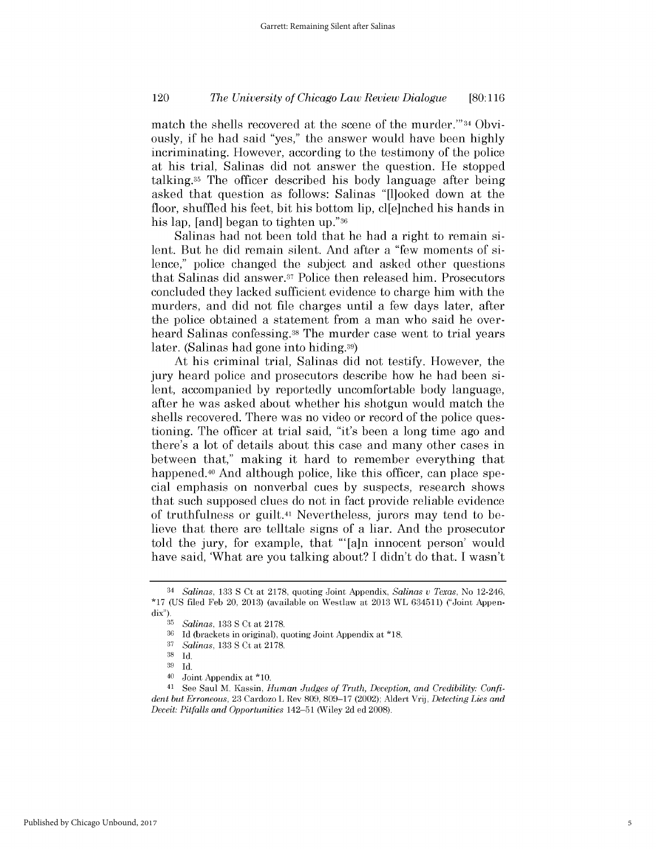### *The University of Chicago Law Review Dialogue* 120 **[80:116**

match the shells recovered at the scene of the murder."'34 Obviously, **if** he had said "yes," the answer would have been **highly** incriminating. However, according to the testimony of the police at his trial, Salinas **did** not answer the question. He stopped talking.35 The officer described his body language after being asked that question as follows: Salinas "[1]ooked down at the floor, shuffled his feet, bit his bottom **lip,** cl[e]nched his hands in his lap, [and] began to tighten **up."36**

Salinas had not been told that he had a right to remain silent. But he **did** remain silent. And after a "few moments of *si*lence," police changed the subject and asked other questions that Salinas **did** answer. 37 Police then released him. Prosecutors concluded they lacked sufficient evidence to charge him with the murders, and **did** not file charges until a few days later, after the police obtained a statement from a man who said he overheard Salinas confessing.<sup>38</sup> The murder case went to trial years later. (Salinas had gone into hiding.39)

At his criminal trial, Salinas **did** not testify. However, the jury heard police and prosecutors describe how he had been silent, accompanied **by** reportedly uncomfortable body language, after he was asked about whether his shotgun would match the shells recovered. There was no video or record of the police questioning. The officer at trial said, "it's been a long time ago and there's a lot of details about this case and many other cases in between that," making it hard to remember everything that happened.<sup>40</sup> And although police, like this officer, can place special emphasis on nonverbal cues **by** suspects, research shows that such supposed clues do not in fact provide reliable evidence of truthfulness or guilt.41 Nevertheless, jurors may tend to believe that there are telltale signs of a liar. And the prosecutor told the jury, for example, that "'[a]n innocent person' would have said, 'What are you talking about? **I** didn't do that. **I** wasn't

<sup>34</sup>*Salinas,* **133 S** Ct at **2178, quoting Joint** Appendix, *Salinas u Texas,* No 12-246, **\*17** *(US* filed Feb 20, **2013)** (available on Westlaw at **2013** WL **634511)** ("Joint Appen*dix").*

**<sup>35</sup>***Salinas,* **133 S** Ct **at 2178.**

**<sup>36</sup>Id** (brackets in original), quoting Joint Appendix at **\*18.**

**<sup>37</sup>***Salinas,* **133 S** Ct **at 2178.**

**<sup>38</sup>Id.**

**<sup>39</sup>Id.**

<sup>40</sup> Joint Appendix at \*10.

<sup>41</sup> See Saul M. Kassin, *Human Judges of Truth, Deception, and Credibility: Confident but Erroneous,* **23** Cardozo L Rev **809, 809-17** (2002); Aldert Vrij, *Detecting Lies and Deceit: Pitfalls and Opportunities* 142-51 (Wiley **2d** ed **2008).**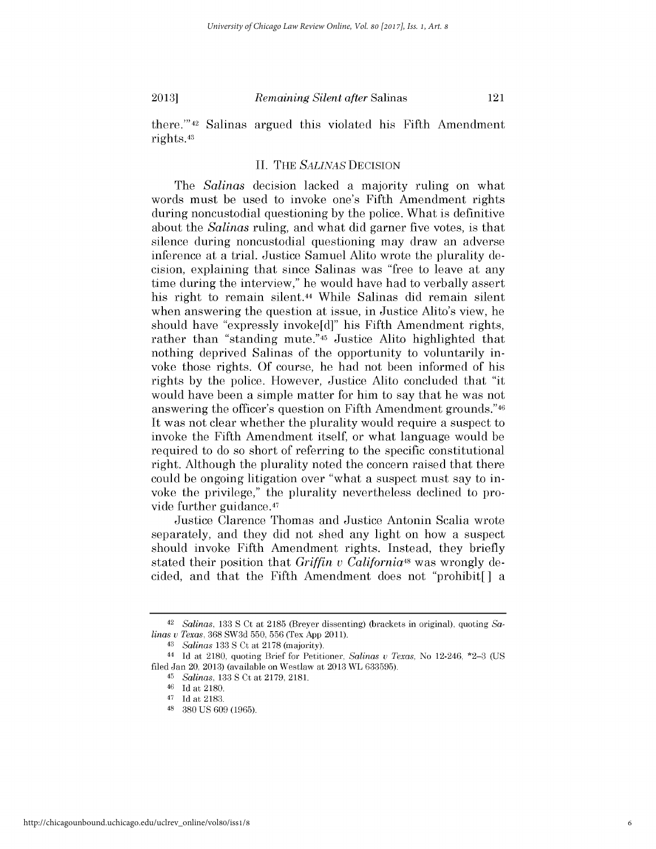there."'42 Salinas argued this violated his Fifth Amendment rights.43

#### **II.** THE *SALINAS* **DECISION**

The *Salinas* decision lacked a majority ruling on what words must be used to invoke one's Fifth Amendment rights during noncustodial questioning **by** the police. What is definitive about the *Salinas* ruling, and what **did** garner five votes, is that silence during noncustodial questioning may draw an adverse inference at a trial. Justice Samuel Alito wrote the plurality decision, explaining that since Salinas was "free to leave at any time during the interview," he would have had to verbally assert his right to remain silent.44 While Salinas **did** remain silent when answering the question at issue, in Justice Alito's view, he should have "expressly invoke[d]" his Fifth Amendment rights, rather than "standing mute."45 Justice Alito highlighted that nothing deprived Salinas of the opportunity to voluntarily invoke those rights. **Of** course, he had not been informed of his rights **by** the police. However, Justice Alito concluded that "it would have been a simple matter for him to say that he was not answering the officer's question on Fifth Amendment grounds."46 It was not clear whether the plurality would require a suspect to invoke the Fifth Amendment itself, or what language would be required to do so short of referring to the specific constitutional right. Although the plurality noted the concern raised that there could be ongoing litigation over "what a suspect must say to invoke the privilege," the plurality nevertheless declined to provide further guidance.47

Justice Clarence Thomas and Justice Antonin Scalia wrote separately, and they **did** not shed any light on how a suspect should invoke Fifth Amendment rights. Instead, they briefly stated their position that *Griffin u California48* was wrongly decided, and that the Fifth Amendment does not "prohibit[] a

**<sup>42</sup>** *Salinas,* **133 S** Ct *at* **2185** (Breyer dissenting) (brackets in original), quoting Sa*linas v Texas,* **368 SW3d 550, 556** (Tex **App 2011).**

<sup>43</sup>*Salinas* **133 S** Ct at **2178** (majority).

<sup>44</sup>**Id** at **2180,** quoting Brief for Petitioner, *Salinas u Texas,* No 12-246, **\*2-3 (US** filed Jan 20, **2013)** (available on Westlaw at **2013** WL **633595).**

**<sup>45</sup>***Salinas,* **133 S** Ct at **2179, 2181.**

**<sup>46</sup>Id** at **2180.**

<sup>47</sup>**Id** at **2183.**

**<sup>48</sup>380 US 609 (1965).**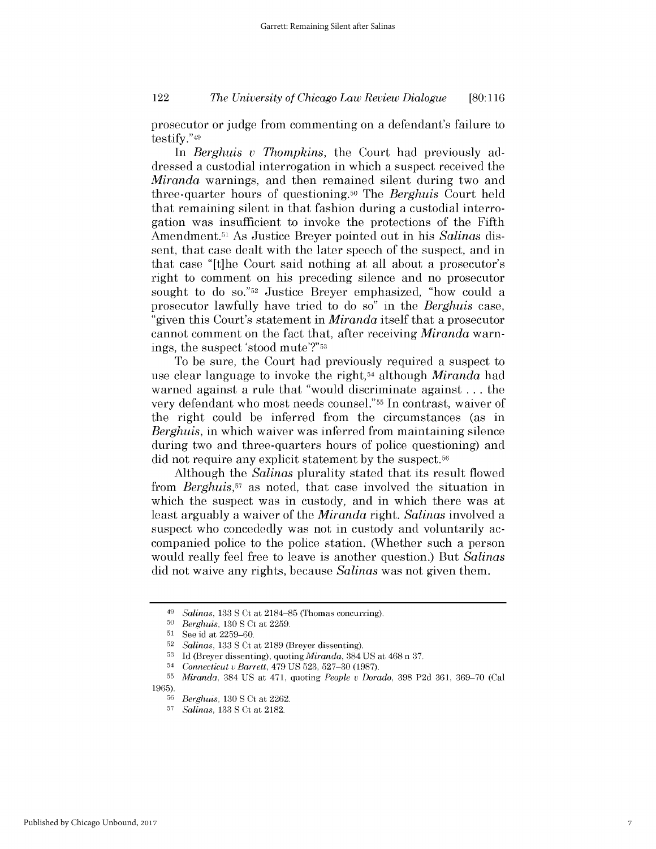### *The University of Chicago Law Review Dialogue* 122 **[80:116**

prosecutor or judge from commenting on a defendant's failure to testify."49

*In Berghuis u Thompkins,* the Court had previously addressed a custodial interrogation in which a suspect received the *Miranda* warnings, and then remained silent during two and three-quarter hours of questioning.50 The *Berghuis* Court held that remaining silent in that fashion during a custodial interrogation was insufficient to invoke the protections of the Fifth Amendment.51 As Justice Breyer pointed out in *his Salinas dis*sent, that case dealt with the later speech of the suspect, and in that case "[t]he Court said nothing at all about a prosecutor's right to comment on his preceding silence and no prosecutor sought to do **so."52** Justice Breyer emphasized, "how could a prosecutor lawfully have tried to do so" in the *Berghuis case,* "given this Court's statement in *Miranda* itself that a prosecutor cannot comment on the fact that, after receiving *Miranda* warnings, the suspect 'stood mute'?"53

To be sure, the Court had previously required a suspect to use clear language to invoke the right,54 although *Miranda* had warned against a rule that "would discriminate against **...** the very defendant who most needs counsel."55 In contrast, waiver of the right could be inferred from the circumstances (as in *Berghuis,* in which waiver was inferred from maintaining silence during two and three-quarters hours of police questioning) and **did** not require any explicit statement **by** the suspect.56

Although the *Salinas* plurality stated that its result flowed from *Berghuis,57* as noted, that case involved the situation in which the suspect was in custody, and in which there was at least arguably a waiver of the *Miranda right. Salinas* involved a suspect who concededly was not **in** custody and voluntarily accompanied police to the police station. (Whether such a person would really feel free to leave is another question.) But *Salinas* **did** not waive any rights, because *Salinas* was not given them.

<sup>49</sup>*Salinas,* **133 S** Ct at **2184-85** (Thomas concurring).

**<sup>50</sup>***Berghuis,* **130 S** Ct at **2259.**

**<sup>51</sup>**See id at **2259-60.**

**<sup>52</sup>***Salinas,* **133 S** Ct at **2189** (Breyer dissenting).

**<sup>53</sup> Id** (Breyer dissenting), *quoting Miranda,* 384 **US** at 468 n **37.**

<sup>54</sup>*Connecticut u Barrett, 479* **US 523, 527-30 (1987).**

**<sup>55</sup>***Miranda,* 384 **US** at 471, quoting *People* v *Dorado,* **398 P2d 361, 369-70** (Cal **1965).**

**<sup>56</sup>***Berghuis,* **130 S** Ct at **2262.**

**<sup>57</sup>***Salinas,* **133 S** Ct at **2182.**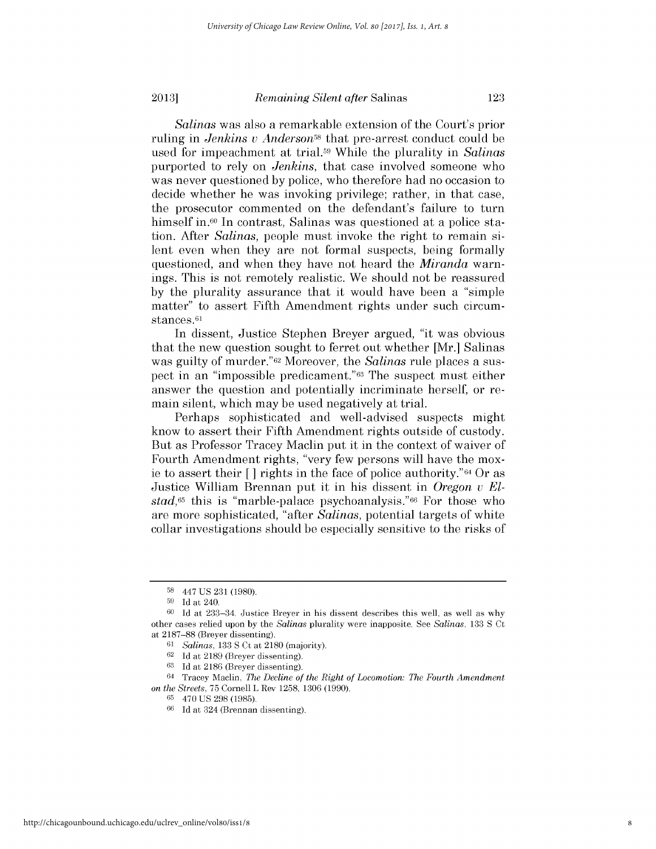*Salinas* was also a remarkable extension of the Court's prior ruling in *Jenkins v Anderson*<sup>58</sup> that pre-arrest conduct could be used for impeachment at trial.5> While the plurality in *Salinas* purported to rely on *Jenkins,* that case involved someone who was never questioned **by** police, who therefore had no occasion to decide whether he was invoking privilege; rather, in that case, the prosecutor commented on the defendant's failure to turn himself in.<sup>60</sup> In contrast, Salinas was questioned at a police station. After *Salinas,* people must invoke the right to remain silent even when they are not formal suspects, being formally questioned, and when they have not heard the *Miranda* warnings. This is not remotely realistic. We should not be reassured **by** the plurality assurance that it would have been a "simple matter" to assert Fifth Amendment rights under such circumstances.<sup>61</sup>

In dissent, Justice Stephen Breyer argued, "it was obvious that the new question sought to ferret out whether [Mr.] Salinas was guilty of murder."62 Moreover, the *Salinas* rule places a suspect in an "impossible predicament."63 The suspect must either answer the question and potentially incriminate herself, or remain silent, which may be used negatively at trial.

Perhaps sophisticated and well-advised suspects might know to assert their Fifth Amendment rights outside of custody. But as Professor Tracey Maclin put it in the context of waiver of Fourth Amendment rights, "very few persons will have the moxie to assert their **[ ]** rights in the face of police authority."64 Or as Justice William Brennan put it in his dissent in *Oregon v El* $stad<sub>65</sub>$  this is "marble-palace psychoanalysis." $66$  For those who are more sophisticated, "after *Salinas,* potential targets of white collar investigations should be especially sensitive to the risks of

**<sup>58</sup>**447 **US 231 (1980).**

**<sup>59</sup> Id** at 240.

**<sup>60</sup> Id** at 233-34. Justice Breyer in his dissent describes this well, as well as why other cases relied upon **by** the *Salinas* plurality were inapposite. See *Salinas,* **133 S** Ct at **2187-88** (Breyer dissenting).

*<sup>61</sup>Salinas,* **133 S** Ct at **2180** (majority).

**<sup>62</sup> Id** at **2189** (Breyer dissenting).

**<sup>63</sup> Id** at **2186** (Breyer dissenting).

<sup>64</sup> Tracey Maclin, *The Decline of the Right of Locomotion: The Fourth Amendment on the Streets,* **75** Cornell L Rev **1258, 1306 (1990).**

**<sup>65</sup>**470 **US 298 (1985).**

**<sup>66</sup> Id** at 324 (Brennan dissenting).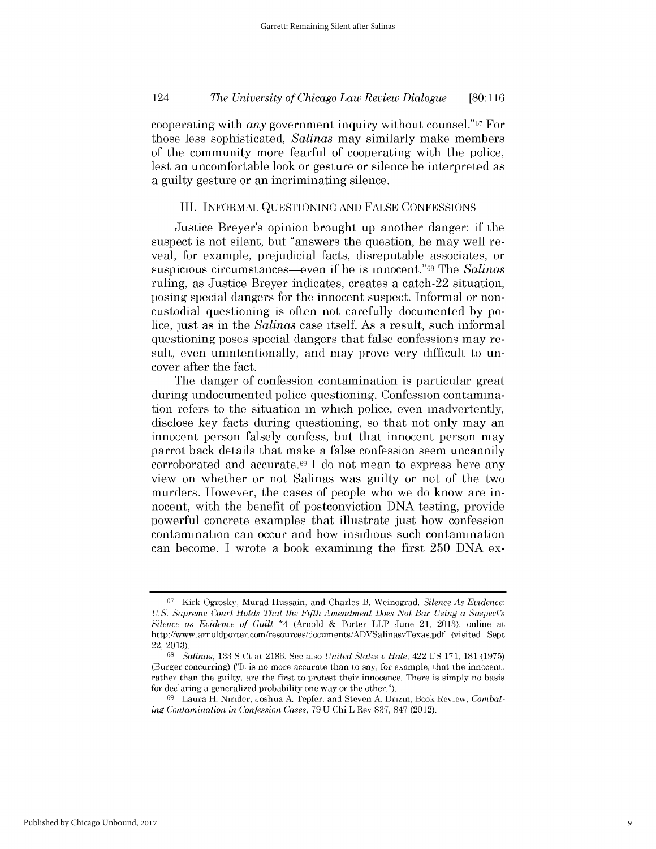cooperating with *any* government inquiry without counsel."67 For those less sophisticated, *Salinas* may similarly make members of the community more fearful of cooperating with the police, lest an uncomfortable look or gesture or silence be interpreted as a guilty gesture or an incriminating silence.

#### III. INFORMAL **QUESTIONING AND FALSE CONFESSIONS**

Justice Breyer's opinion brought up another danger: **if** the suspect is not silent, but "answers the question, he may well reveal, for example, prejudicial facts, disreputable associates, or suspicious circumstances-even **if** he is innocent."68 The *Salinas* ruling, as Justice Breyer indicates, creates a catch-22 situation, posing special dangers for the innocent suspect. Informal or noncustodial questioning is often not carefully documented **by** police, just as in the *Salinas* case itself. As a result, such informal questioning poses special dangers that false confessions may result, even unintentionally, and may prove very difficult to uncover after the fact.

The danger of confession contamination is particular great during undocumented police questioning. Confession contamination refers to the situation in which police, even inadvertently, disclose key facts during questioning, so that not only may an innocent person falsely confess, but that innocent person may parrot back details that make a false confession seem uncannily corroborated and accurate.69 **I** do not mean to express here any view on whether or not Salinas was guilty or not of the two murders. However, the cases of people who we do know are innocent, with the benefit of postconviction **DNA** testing, provide powerful concrete examples that illustrate just how confession contamination can occur and how insidious such contamination can become. **I** wrote a book examining the first **250 DNA** ex-

**<sup>67</sup>**Kirk Ogrosky, Murad Hussain, and Charles B. Weinograd, *Silence As Evidence: U.S. Supreme Court Holds That the Fifth Amendment Does Not Bar Using a Suspect's Silence as Evidence of Guilt \*4* (Arnold **&** Porter LLP June 21, **2013),** online at http://www.arnoldporter.com/resources/documents/ADVSalinasvTexas.pdf (visited Sept 22, **2013).**

*<sup>68</sup>Salinas,* **133 S** Ct at **2186.** See also *United States u Hale,* 422 **US 171, 181 (1975)** (Burger concurring) ("It is no more accurate than to say, for example, that the innocent, rather than the guilty, are the first to protest their innocence. There is simply no basis for declaring a generalized probability one way or the other.").

**<sup>69</sup>** Laura H. Nirider, Joshua **A.** Tepfer, and Steven **A.** Drizin, Book Review, *Combating Contamination in Confession Cases,* **79 U** Chi L Rev **837, 847** (2012).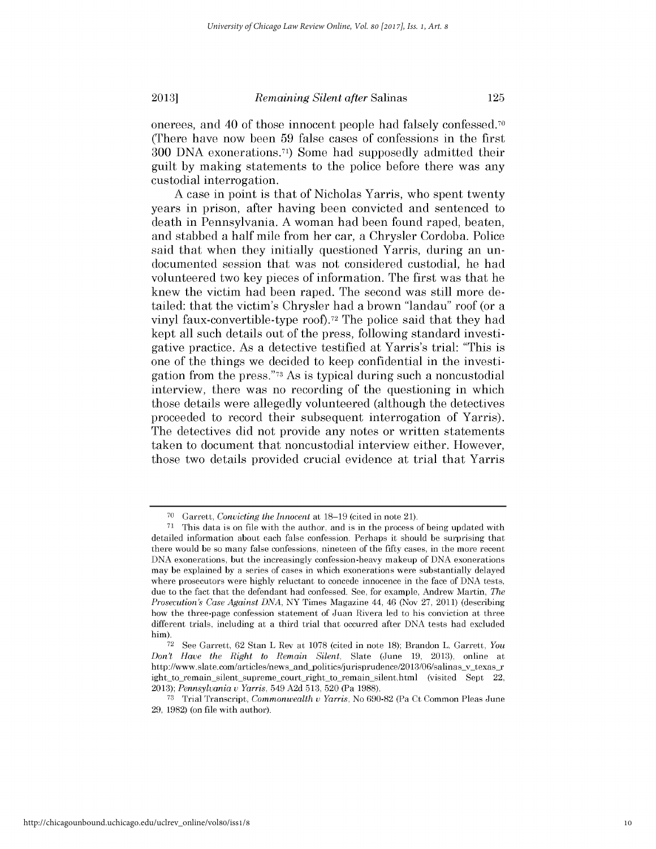onerees, and 40 of those innocent people had falsely confessed.70 (There have now been **59** false cases of confessions in the first **300 DNA** exonerations.71) Some had supposedly admitted their guilt **by** making statements to the police before there was any custodial interrogation.

**A** case in point is that of Nicholas Yarris, who spent twenty years in prison, after having been convicted and sentenced to death in Pennsylvania. **A** woman had been found raped, beaten, and stabbed a half mile from her car, a Chrysler Cordoba. Police said that when they initially questioned Yarris, during an undocumented session that was not considered custodial, he had volunteered two key pieces of information. The first was that he knew the victim had been raped. The second was still more detailed: that the victim's Chrysler had a brown "landau" roof (or a vinyl faux-convertible-type roof).72 The police said that they had kept all such details out of the press, following standard investigative practice. As a detective testified at Yarris's trial: "This **is** one of the things we decided to keep confidential in the investigation from the press."73 As is typical during such a noncustodial interview, there was no recording of the questioning in which those details were allegedly volunteered (although the detectives proceeded to record their subsequent interrogation of Yarris). The detectives **did** not provide any notes or written statements taken to document that noncustodial interview either. However, those two details provided crucial evidence at trial that Yarris

**<sup>70</sup>**Garrett, *Convicting the Innocent* at **18-19** (cited in note **21).**

**<sup>71</sup>**This data is on file with the author, and is in the process of being updated with detailed information about each false confession. Perhaps it should be surprising that there would be so many false confessions, nineteen of the fifty cases, in the more recent **DNA** exonerations, but the increasingly confession-heavy makeup of **DNA** exonerations may be explained **by** a series of cases in which exonerations were substantially delayed where prosecutors were **highly** reluctant to concede innocence in the face of **DNA** tests, due to the fact that the defendant had confessed. See, for example, Andrew Martin, *The Prosecution's Case Against DNA,* NY Times Magazine 44, 46 (Nov **27, 2011)** (describing how the three-page confession statement of Juan Rivera led to his conviction at three different trials, including at a third trial that occurred after **DNA** tests had excluded him).

**<sup>72</sup> See** Garrett, **62** Stan L Rev at **1078** (cited in note **18);** Brandon L. Garrett, *You Don't Have the Right to Remain Silent,* Slate (June **19, 2013),** online at http://www.slate.com/articles/news\_and\_politics/jurisprudence/2013/06/salinas\_v\_texas\_r ight to remain silent supreme court right to remain silent.html (visited Sept 22, *2013); Pennsylvania v Yarris,* 549 **A2d 513, 520** (Pa **1988).**

**<sup>73</sup>**Trial Transcript, *Commonwealth v Yarris,* No **690-82** (Pa Ct Common Pleas June **29, 1982)** (on file with author).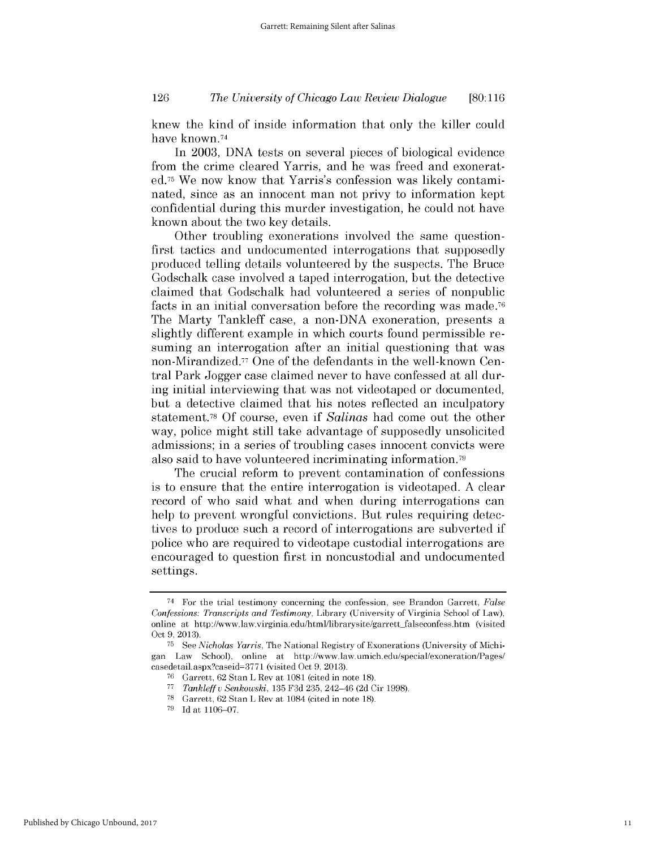### *The University of Chicago Law Review Dialogue* 126 **[80:116**

knew the kind of inside information that only the killer could have known.74

In **2003, DNA** tests on several pieces of biological evidence from the crime cleared Yarris, and he was freed and exonerated.75 We now know that Yarris's confession was likely contaminated, since as an innocent man not privy to information kept confidential during this murder investigation, he could not have known about the two key details.

Other troubling exonerations involved the same questionfirst tactics and undocumented interrogations that supposedly produced telling details volunteered **by** the suspects. The Bruce Godschalk case involved a taped interrogation, but the detective claimed that Godschalk had volunteered a series of nonpublic facts in an initial conversation before the recording was made.76 The Marty Tankleff case, a non-DNA exoneration, presents a slightly different example in which courts found permissible resuming an interrogation after an initial questioning that was non-Mirandized.77 One of the defendants in the well-known Central Park Jogger case claimed never to have confessed at all during initial interviewing that was not videotaped or documented, but a detective claimed that his notes reflected an inculpatory statement.78 **Of** course, even **if** *Salinas* had come out the other way, police might still take advantage of supposedly unsolicited admissions; in a series of troubling cases innocent convicts were also said to have volunteered incriminating information.79

The crucial reform to prevent contamination of confessions is to ensure that the entire interrogation is videotaped. **A** clear record of who said what and when during interrogations can help to prevent wrongful convictions. But rules requiring detectives to produce such a record of interrogations are subverted **if** police who are required to videotape custodial interrogations are encouraged to question first in noncustodial and undocumented settings.

<sup>74</sup> For the trial testimony concerning the confession, see Brandon Garrett, *False Confessions: Transcripts and Testimony,* Library (University of Virginia School of Law), online at http://www.law.virginia.edu/html/librarysite/garrett-falseconfess.htm (visited Oct **9, 2013).**

**<sup>75</sup>** See *Nicholas Yarris,* The National Registry of Exonerations (University of Michigan Law School), online at http://www.law.umich.edu/special/exoneration/Pages/ casedetail.aspx?caseid=3771 (visited Oct 9, 2013).

**<sup>76</sup>**Garrett, **62** Stan L Rev at **1081** (cited in note **18).**

**<sup>77</sup>***Tankleff u Senkowski,* **135 F3d 235,** 242-46 **(2d** Cir **1998).**

**<sup>78</sup>**Garrett, **62** Stan L Rev at 1084 (cited in note **18).**

**<sup>79</sup> Id** at **1106-07.**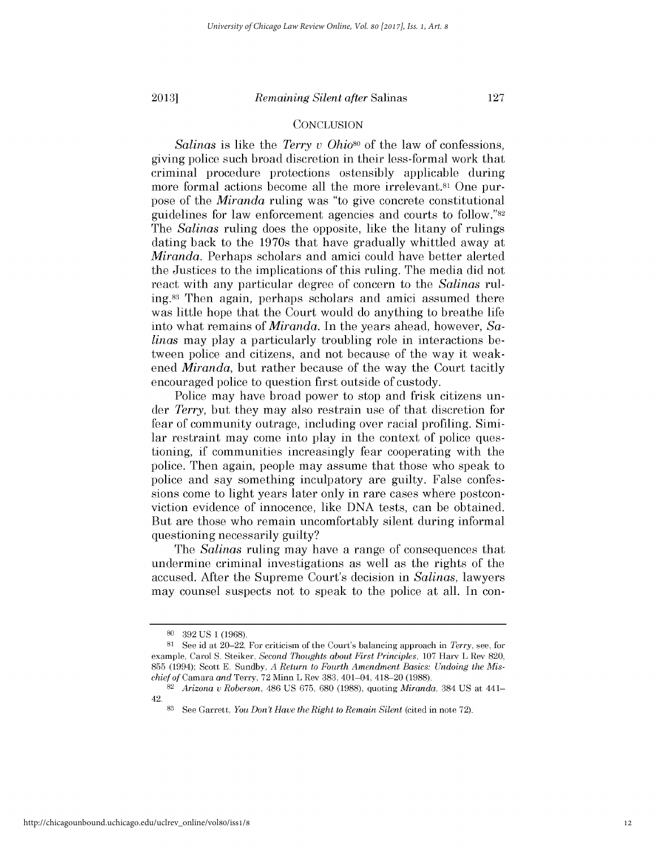**2013]**

#### *Remaining Silent after* Salinas

#### **CONCLUSION**

*Salinas is* like the *Terry v Ohio8o* of the law of confessions, giving police such broad discretion in their less-formal work that criminal procedure protections ostensibly applicable during more formal actions become all the more irrelevant.<sup>81</sup> One purpose of the *Miranda* ruling was "to give concrete constitutional guidelines for law enforcement agencies and courts to **follow."82** The *Salinas* ruling does the opposite, like the litany of rulings dating back to the 1970s that have gradually whittled away at *Miranda.* Perhaps scholars and amici could have better alerted the Justices to the implications of this ruling. The media **did** not react with any particular degree of concern to the *Salinas* ruling. 83 Then again, perhaps scholars and amici assumed there was little hope that the Court would do anything to breathe life into what remains of *Miranda.* In the years ahead, however, *Salinas* may play a particularly troubling role in interactions between police and citizens, and not because of the way it weakened *Miranda,* but rather because of the way the Court tacitly encouraged police to question first outside of custody.

Police may have broad power to stop and frisk citizens un*der Terry,* but they may also restrain use of that discretion for fear of community outrage, including over racial profiling. Similar restraint may come into play in the context of police questioning, **if** communities increasingly fear cooperating with the police. Then again, people may assume that those who speak to police and say something inculpatory are guilty. False confessions come to light years later only in rare cases where postconviction evidence of innocence, like **DNA** tests, can be obtained. But are those who remain uncomfortably silent during informal questioning necessarily guilty?

The *Salinas* ruling may have a range of consequences that undermine criminal investigations as well as the rights of the accused. After the Supreme Court's decision in *Salinas,* lawyers may counsel suspects not to speak to the police at all. In con-

**<sup>80 392</sup> US 1 (1968).**

**<sup>81</sup>**See id at 20-22. For criticism of the Court's balancing approach in *Terry,* see, for example, Carol **S.** Steiker, *Second Thoughts about First Principles,* **107** Harv L Rev **820, 855** (1994); Scott **E.** Sundby, *A Return to Fourth Amendment Basics: Undoing the Mischief of* Camara *and* Terry, **72** Minn L Rev **383,** 401-04, 418-20 **(1988).**

**<sup>82</sup>***Arizona* v *Roberson,* 486 **US 675, 680 (1988),** quoting *Miranda,* 384 **US** at 441- 42.

**<sup>83</sup>**See Garrett, *You Don't Have the Right to Remain Silent* (cited in note **72).**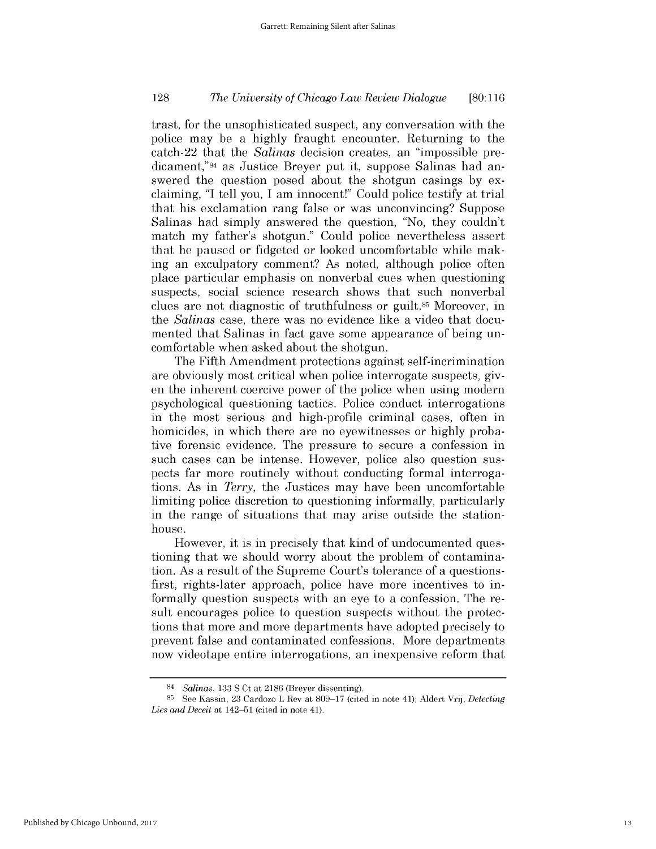### *The University of Chicago Law Review Dialogue* **128 [80:116**

trast, for the unsophisticated suspect, any conversation with the police may be a **highly** fraught encounter. Returning to the catch-22 that the *Salinas* decision creates, an "impossible predicament,"84 as Justice Breyer put it, suppose Salinas had answered the question posed about the shotgun casings **by** exclaiming, **"I** tell you, **I** am innocent!" Could police testify at trial that his exclamation rang false or was unconvincing? Suppose Salinas had simply answered the question, "No, they couldn't match my father's shotgun." Could police nevertheless assert that he paused or fidgeted or looked uncomfortable while making an exculpatory comment? As noted, although police often place particular emphasis on nonverbal cues when questioning suspects, social science research shows that such nonverbal clues are not diagnostic of truthfulness or **guilt.85** Moreover, in the *Salinas* case, there was no evidence like a video that documented that Salinas in fact gave some appearance of being uncomfortable when asked about the shotgun.

The Fifth Amendment protections against self-incrimination are obviously most critical when police interrogate suspects, **giv**en the inherent coercive power of the police when using modern psychological questioning tactics. Police conduct interrogations in the most serious and high-profile criminal cases, often in homicides, in which there are no eyewitnesses or **highly** probative forensic evidence. The pressure to secure a confession in such cases can be intense. However, police also question suspects far more routinely without conducting formal interrogations. As *in Terry,* the Justices may have been uncomfortable limiting police discretion to questioning informally, particularly in the range of situations that may arise outside the stationhouse.

However, it *is* in precisely that kind of undocumented questioning that we should worry about the problem of contamination. As a result of the Supreme Court's tolerance of a questionsfirst, rights-later approach, police have more incentives to informally question suspects with an eye to a confession. The result encourages police to question suspects without the protections that more and more departments have adopted precisely to prevent false and contaminated confessions. More departments now videotape entire interrogations, an inexpensive reform that

<sup>84</sup>*Salinas,* **133 S** Ct at **2186** (Breyer dissenting).

**<sup>85</sup>**See Kassin, **23** Cardozo L Rev at **809-17** (cited in note 41); Aldert Vrij, *Detecting Lies and Deceit at* 142-51 (cited in note 41).